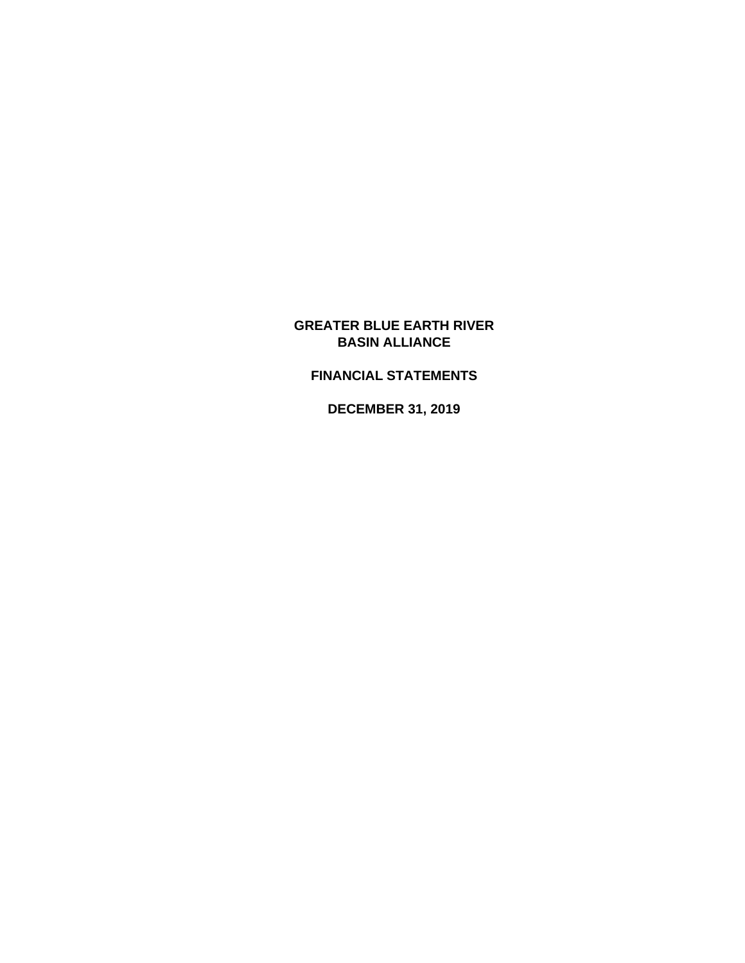# **GREATER BLUE EARTH RIVER BASIN ALLIANCE**

# **FINANCIAL STATEMENTS**

**DECEMBER 31, 2019**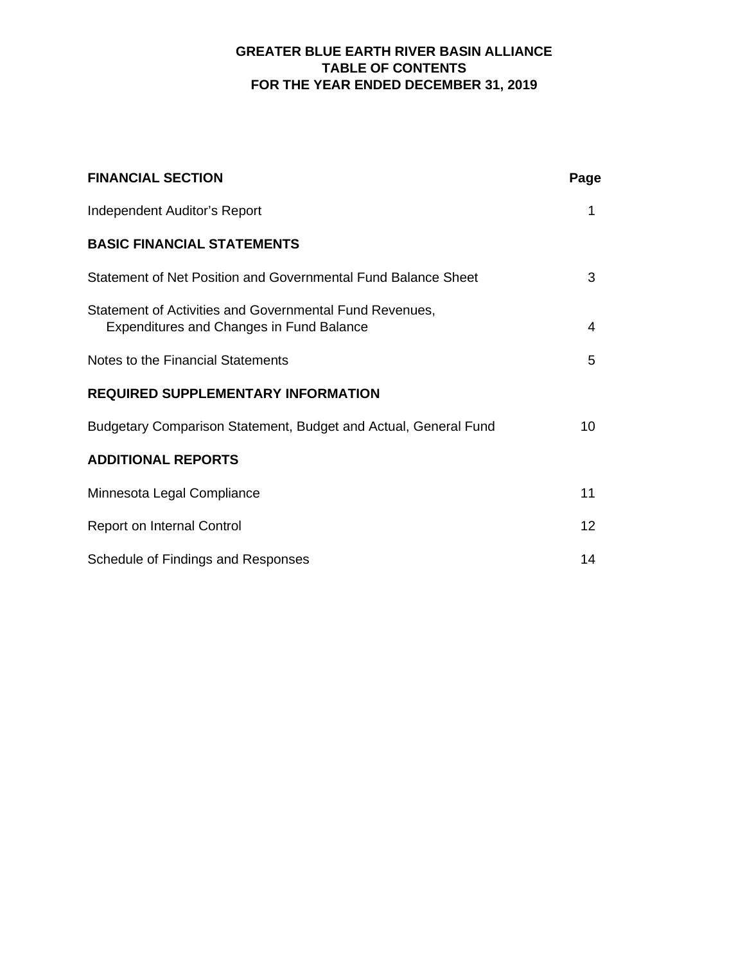# **GREATER BLUE EARTH RIVER BASIN ALLIANCE TABLE OF CONTENTS FOR THE YEAR ENDED DECEMBER 31, 2019**

| <b>FINANCIAL SECTION</b>                                                                                   | Page              |
|------------------------------------------------------------------------------------------------------------|-------------------|
| Independent Auditor's Report                                                                               | 1                 |
| <b>BASIC FINANCIAL STATEMENTS</b>                                                                          |                   |
| Statement of Net Position and Governmental Fund Balance Sheet                                              | 3                 |
| Statement of Activities and Governmental Fund Revenues,<br><b>Expenditures and Changes in Fund Balance</b> | 4                 |
| Notes to the Financial Statements                                                                          | 5                 |
| <b>REQUIRED SUPPLEMENTARY INFORMATION</b>                                                                  |                   |
| Budgetary Comparison Statement, Budget and Actual, General Fund                                            | 10                |
| <b>ADDITIONAL REPORTS</b>                                                                                  |                   |
| Minnesota Legal Compliance                                                                                 | 11                |
| Report on Internal Control                                                                                 | $12 \overline{ }$ |
| Schedule of Findings and Responses                                                                         | 14                |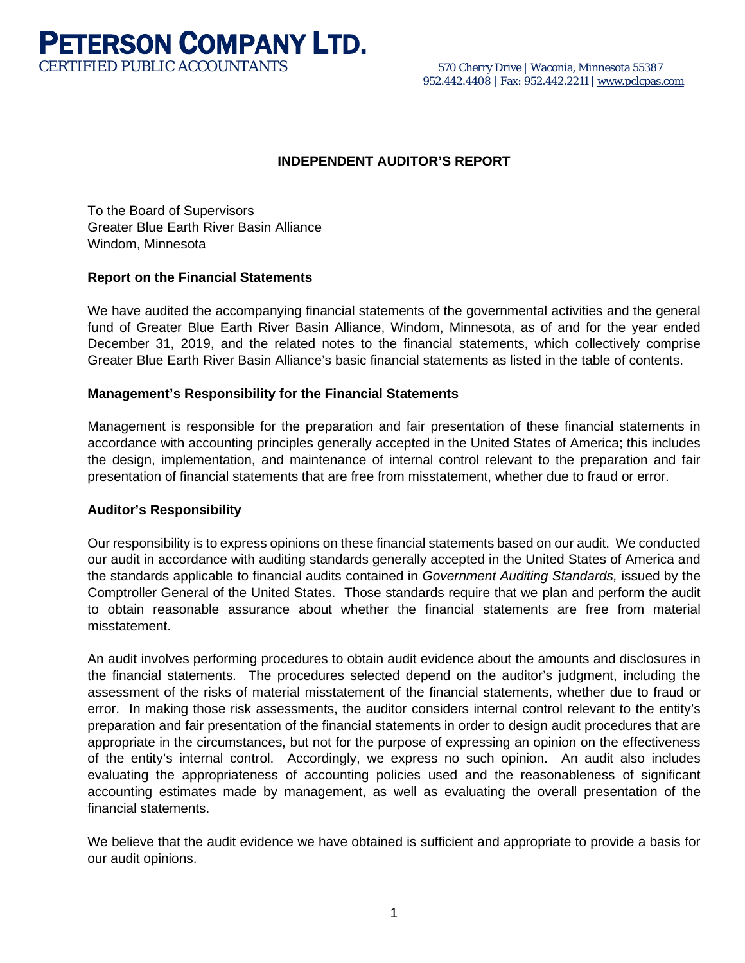**PETERSON COMPANY LTD.**<br>CERTIFIED PUBLIC ACCOUNTANTS 570 Cherry Drive | Waconia, Minnesota 55387

# **INDEPENDENT AUDITOR'S REPORT**

To the Board of Supervisors Greater Blue Earth River Basin Alliance Windom, Minnesota

#### **Report on the Financial Statements**

We have audited the accompanying financial statements of the governmental activities and the general fund of Greater Blue Earth River Basin Alliance, Windom, Minnesota, as of and for the year ended December 31, 2019, and the related notes to the financial statements, which collectively comprise Greater Blue Earth River Basin Alliance's basic financial statements as listed in the table of contents.

#### **Management's Responsibility for the Financial Statements**

Management is responsible for the preparation and fair presentation of these financial statements in accordance with accounting principles generally accepted in the United States of America; this includes the design, implementation, and maintenance of internal control relevant to the preparation and fair presentation of financial statements that are free from misstatement, whether due to fraud or error.

#### **Auditor's Responsibility**

Our responsibility is to express opinions on these financial statements based on our audit. We conducted our audit in accordance with auditing standards generally accepted in the United States of America and the standards applicable to financial audits contained in *Government Auditing Standards,* issued by the Comptroller General of the United States. Those standards require that we plan and perform the audit to obtain reasonable assurance about whether the financial statements are free from material misstatement.

An audit involves performing procedures to obtain audit evidence about the amounts and disclosures in the financial statements. The procedures selected depend on the auditor's judgment, including the assessment of the risks of material misstatement of the financial statements, whether due to fraud or error. In making those risk assessments, the auditor considers internal control relevant to the entity's preparation and fair presentation of the financial statements in order to design audit procedures that are appropriate in the circumstances, but not for the purpose of expressing an opinion on the effectiveness of the entity's internal control. Accordingly, we express no such opinion. An audit also includes evaluating the appropriateness of accounting policies used and the reasonableness of significant accounting estimates made by management, as well as evaluating the overall presentation of the financial statements.

We believe that the audit evidence we have obtained is sufficient and appropriate to provide a basis for our audit opinions.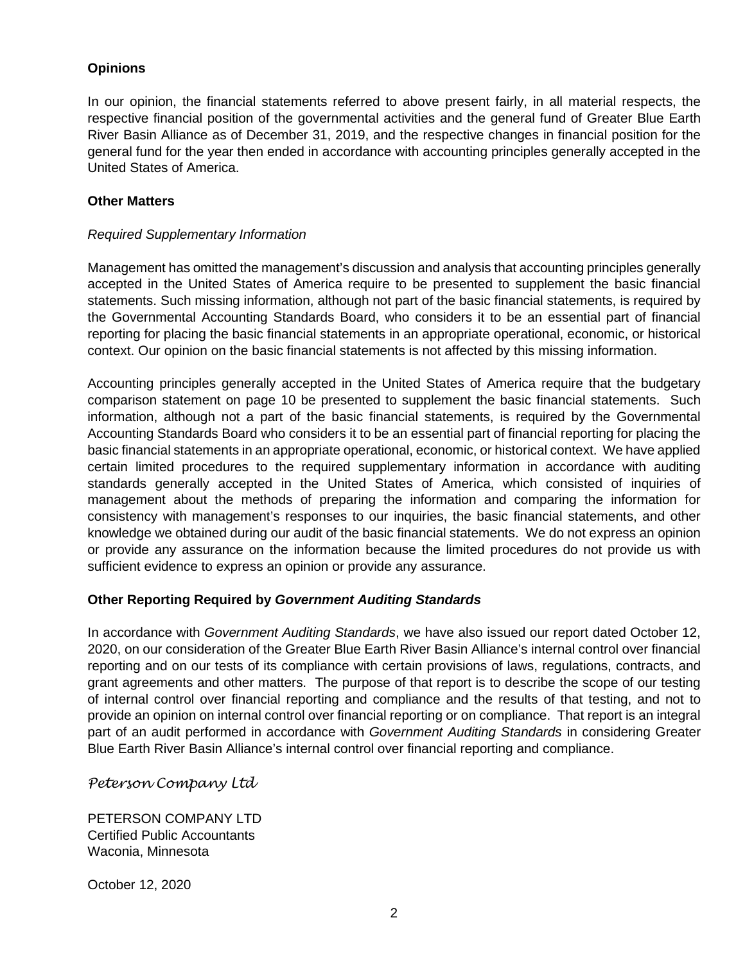# **Opinions**

In our opinion, the financial statements referred to above present fairly, in all material respects, the respective financial position of the governmental activities and the general fund of Greater Blue Earth River Basin Alliance as of December 31, 2019, and the respective changes in financial position for the general fund for the year then ended in accordance with accounting principles generally accepted in the United States of America.

# **Other Matters**

## *Required Supplementary Information*

Management has omitted the management's discussion and analysis that accounting principles generally accepted in the United States of America require to be presented to supplement the basic financial statements. Such missing information, although not part of the basic financial statements, is required by the Governmental Accounting Standards Board, who considers it to be an essential part of financial reporting for placing the basic financial statements in an appropriate operational, economic, or historical context. Our opinion on the basic financial statements is not affected by this missing information.

Accounting principles generally accepted in the United States of America require that the budgetary comparison statement on page 10 be presented to supplement the basic financial statements. Such information, although not a part of the basic financial statements, is required by the Governmental Accounting Standards Board who considers it to be an essential part of financial reporting for placing the basic financial statements in an appropriate operational, economic, or historical context. We have applied certain limited procedures to the required supplementary information in accordance with auditing standards generally accepted in the United States of America, which consisted of inquiries of management about the methods of preparing the information and comparing the information for consistency with management's responses to our inquiries, the basic financial statements, and other knowledge we obtained during our audit of the basic financial statements. We do not express an opinion or provide any assurance on the information because the limited procedures do not provide us with sufficient evidence to express an opinion or provide any assurance.

# **Other Reporting Required by** *Government Auditing Standards*

In accordance with *Government Auditing Standards*, we have also issued our report dated October 12, 2020, on our consideration of the Greater Blue Earth River Basin Alliance's internal control over financial reporting and on our tests of its compliance with certain provisions of laws, regulations, contracts, and grant agreements and other matters. The purpose of that report is to describe the scope of our testing of internal control over financial reporting and compliance and the results of that testing, and not to provide an opinion on internal control over financial reporting or on compliance. That report is an integral part of an audit performed in accordance with *Government Auditing Standards* in considering Greater Blue Earth River Basin Alliance's internal control over financial reporting and compliance.

*Peterson Company Ltd*

PETERSON COMPANY LTD Certified Public Accountants Waconia, Minnesota

October 12, 2020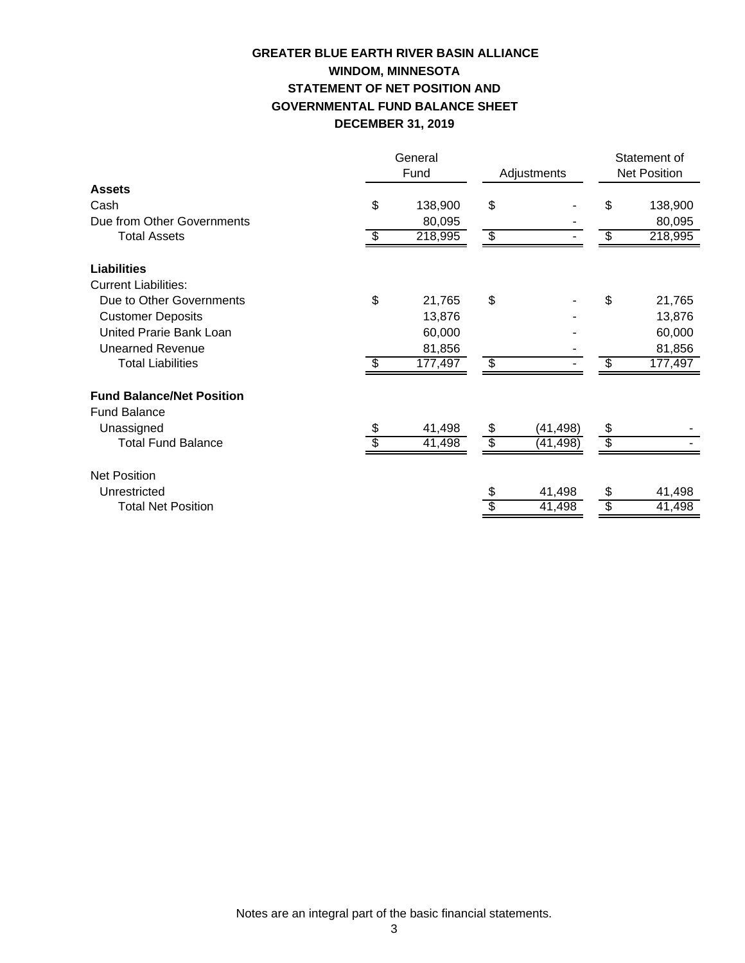# **GREATER BLUE EARTH RIVER BASIN ALLIANCE WINDOM, MINNESOTA STATEMENT OF NET POSITION AND GOVERNMENTAL FUND BALANCE SHEET DECEMBER 31, 2019**

|                                  | General<br>Fund |         |                         | Adjustments |                          | Statement of<br><b>Net Position</b> |  |
|----------------------------------|-----------------|---------|-------------------------|-------------|--------------------------|-------------------------------------|--|
| <b>Assets</b>                    |                 |         |                         |             |                          |                                     |  |
| Cash                             | \$              | 138,900 | \$                      |             | \$                       | 138,900                             |  |
| Due from Other Governments       |                 | 80,095  |                         |             |                          | 80,095                              |  |
| <b>Total Assets</b>              | \$              | 218,995 | $\overline{\mathbf{e}}$ |             | \$                       | 218,995                             |  |
| <b>Liabilities</b>               |                 |         |                         |             |                          |                                     |  |
| <b>Current Liabilities:</b>      |                 |         |                         |             |                          |                                     |  |
| Due to Other Governments         | \$              | 21,765  | \$                      |             | \$                       | 21,765                              |  |
| <b>Customer Deposits</b>         |                 | 13,876  |                         |             |                          | 13,876                              |  |
| United Prarie Bank Loan          |                 | 60,000  |                         |             |                          | 60,000                              |  |
| <b>Unearned Revenue</b>          |                 | 81,856  |                         |             |                          | 81,856                              |  |
| <b>Total Liabilities</b>         | S               | 177,497 | \$                      |             | \$                       | 177,497                             |  |
| <b>Fund Balance/Net Position</b> |                 |         |                         |             |                          |                                     |  |
| <b>Fund Balance</b>              |                 |         |                         |             |                          |                                     |  |
| Unassigned                       | \$              | 41,498  | \$                      | (41, 498)   | \$                       |                                     |  |
| <b>Total Fund Balance</b>        | \$              | 41,498  | $\overline{\$}$         | (41,498)    | $\sqrt[6]{\frac{2}{5}}$  |                                     |  |
| <b>Net Position</b>              |                 |         |                         |             |                          |                                     |  |
| Unrestricted                     |                 |         | \$                      | 41,498      | \$                       | 41,498                              |  |
| <b>Total Net Position</b>        |                 |         | $\overline{\$}$         | 41,498      | $\overline{\mathcal{E}}$ | 41,498                              |  |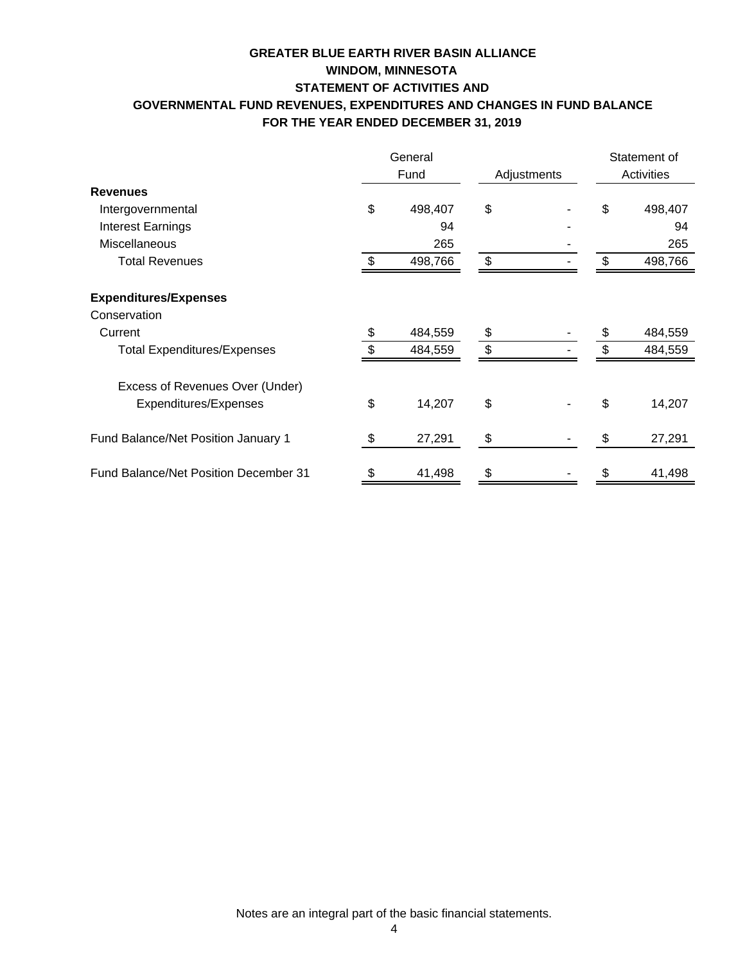# **GREATER BLUE EARTH RIVER BASIN ALLIANCE WINDOM, MINNESOTA STATEMENT OF ACTIVITIES AND GOVERNMENTAL FUND REVENUES, EXPENDITURES AND CHANGES IN FUND BALANCE FOR THE YEAR ENDED DECEMBER 31, 2019**

|                                              | General<br>Fund |         | Adjustments |  | Statement of<br>Activities |         |
|----------------------------------------------|-----------------|---------|-------------|--|----------------------------|---------|
| <b>Revenues</b>                              |                 |         |             |  |                            |         |
| Intergovernmental                            | \$              | 498,407 | \$          |  | \$                         | 498,407 |
| <b>Interest Earnings</b>                     |                 | 94      |             |  |                            | 94      |
| Miscellaneous                                |                 | 265     |             |  |                            | 265     |
| <b>Total Revenues</b>                        |                 | 498,766 | \$          |  | \$.                        | 498,766 |
| <b>Expenditures/Expenses</b>                 |                 |         |             |  |                            |         |
| Conservation                                 |                 |         |             |  |                            |         |
| Current                                      | \$              | 484,559 | \$          |  |                            | 484,559 |
| <b>Total Expenditures/Expenses</b>           | \$              | 484,559 | \$          |  | \$                         | 484,559 |
| Excess of Revenues Over (Under)              |                 |         |             |  |                            |         |
| Expenditures/Expenses                        | \$              | 14,207  | \$          |  | \$                         | 14,207  |
| Fund Balance/Net Position January 1          | \$              | 27,291  | \$          |  | \$                         | 27,291  |
| <b>Fund Balance/Net Position December 31</b> | \$              | 41,498  | \$          |  | \$                         | 41,498  |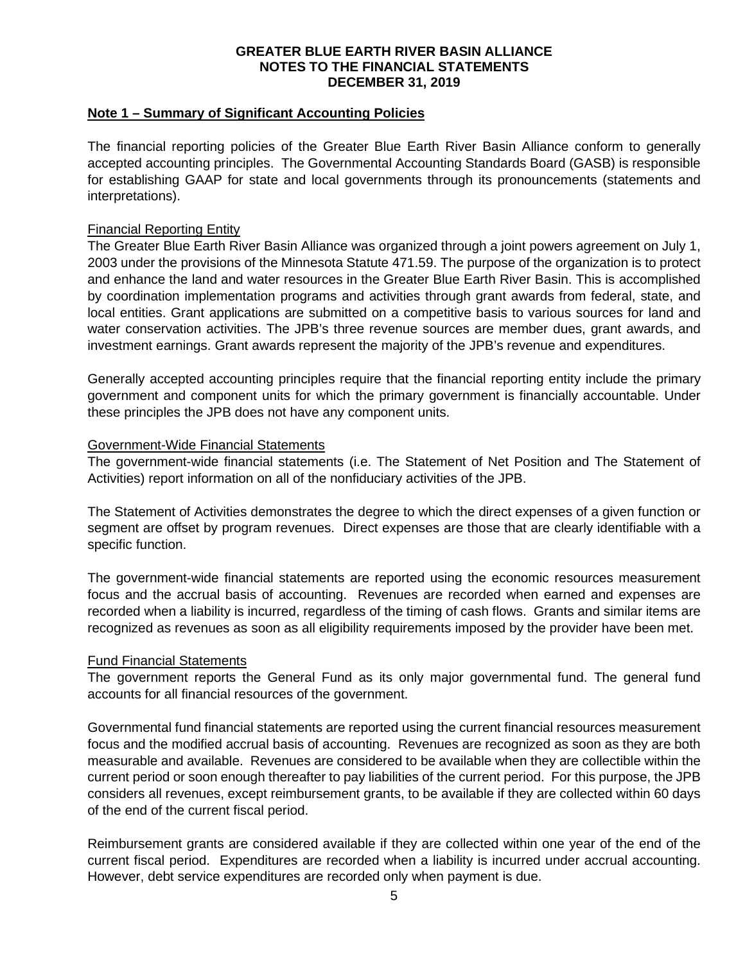#### **Note 1 – Summary of Significant Accounting Policies**

The financial reporting policies of the Greater Blue Earth River Basin Alliance conform to generally accepted accounting principles. The Governmental Accounting Standards Board (GASB) is responsible for establishing GAAP for state and local governments through its pronouncements (statements and interpretations).

#### Financial Reporting Entity

The Greater Blue Earth River Basin Alliance was organized through a joint powers agreement on July 1, 2003 under the provisions of the Minnesota Statute 471.59. The purpose of the organization is to protect and enhance the land and water resources in the Greater Blue Earth River Basin. This is accomplished by coordination implementation programs and activities through grant awards from federal, state, and local entities. Grant applications are submitted on a competitive basis to various sources for land and water conservation activities. The JPB's three revenue sources are member dues, grant awards, and investment earnings. Grant awards represent the majority of the JPB's revenue and expenditures.

Generally accepted accounting principles require that the financial reporting entity include the primary government and component units for which the primary government is financially accountable. Under these principles the JPB does not have any component units.

#### Government-Wide Financial Statements

The government-wide financial statements (i.e. The Statement of Net Position and The Statement of Activities) report information on all of the nonfiduciary activities of the JPB.

The Statement of Activities demonstrates the degree to which the direct expenses of a given function or segment are offset by program revenues. Direct expenses are those that are clearly identifiable with a specific function.

The government-wide financial statements are reported using the economic resources measurement focus and the accrual basis of accounting. Revenues are recorded when earned and expenses are recorded when a liability is incurred, regardless of the timing of cash flows. Grants and similar items are recognized as revenues as soon as all eligibility requirements imposed by the provider have been met.

#### Fund Financial Statements

The government reports the General Fund as its only major governmental fund. The general fund accounts for all financial resources of the government.

Governmental fund financial statements are reported using the current financial resources measurement focus and the modified accrual basis of accounting. Revenues are recognized as soon as they are both measurable and available. Revenues are considered to be available when they are collectible within the current period or soon enough thereafter to pay liabilities of the current period. For this purpose, the JPB considers all revenues, except reimbursement grants, to be available if they are collected within 60 days of the end of the current fiscal period.

Reimbursement grants are considered available if they are collected within one year of the end of the current fiscal period. Expenditures are recorded when a liability is incurred under accrual accounting. However, debt service expenditures are recorded only when payment is due.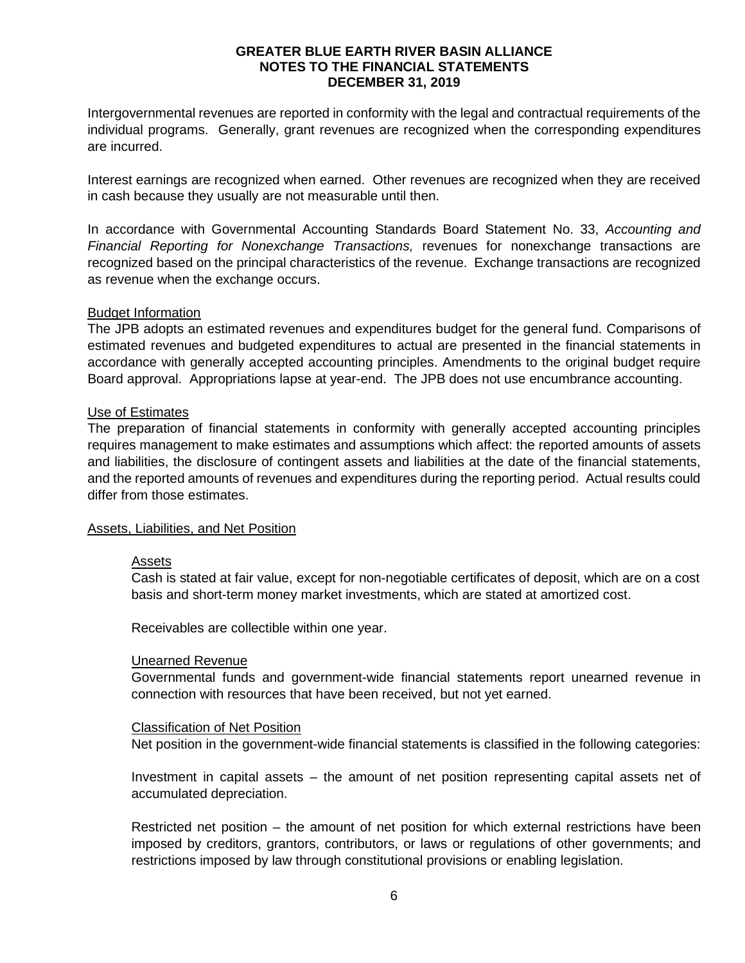Intergovernmental revenues are reported in conformity with the legal and contractual requirements of the individual programs. Generally, grant revenues are recognized when the corresponding expenditures are incurred.

Interest earnings are recognized when earned. Other revenues are recognized when they are received in cash because they usually are not measurable until then.

In accordance with Governmental Accounting Standards Board Statement No. 33, *Accounting and Financial Reporting for Nonexchange Transactions,* revenues for nonexchange transactions are recognized based on the principal characteristics of the revenue. Exchange transactions are recognized as revenue when the exchange occurs.

#### Budget Information

The JPB adopts an estimated revenues and expenditures budget for the general fund. Comparisons of estimated revenues and budgeted expenditures to actual are presented in the financial statements in accordance with generally accepted accounting principles. Amendments to the original budget require Board approval. Appropriations lapse at year-end. The JPB does not use encumbrance accounting.

#### Use of Estimates

The preparation of financial statements in conformity with generally accepted accounting principles requires management to make estimates and assumptions which affect: the reported amounts of assets and liabilities, the disclosure of contingent assets and liabilities at the date of the financial statements, and the reported amounts of revenues and expenditures during the reporting period. Actual results could differ from those estimates.

#### Assets, Liabilities, and Net Position

# Assets

Cash is stated at fair value, except for non-negotiable certificates of deposit, which are on a cost basis and short-term money market investments, which are stated at amortized cost.

Receivables are collectible within one year.

#### Unearned Revenue

Governmental funds and government-wide financial statements report unearned revenue in connection with resources that have been received, but not yet earned.

#### Classification of Net Position

Net position in the government-wide financial statements is classified in the following categories:

Investment in capital assets – the amount of net position representing capital assets net of accumulated depreciation.

Restricted net position – the amount of net position for which external restrictions have been imposed by creditors, grantors, contributors, or laws or regulations of other governments; and restrictions imposed by law through constitutional provisions or enabling legislation.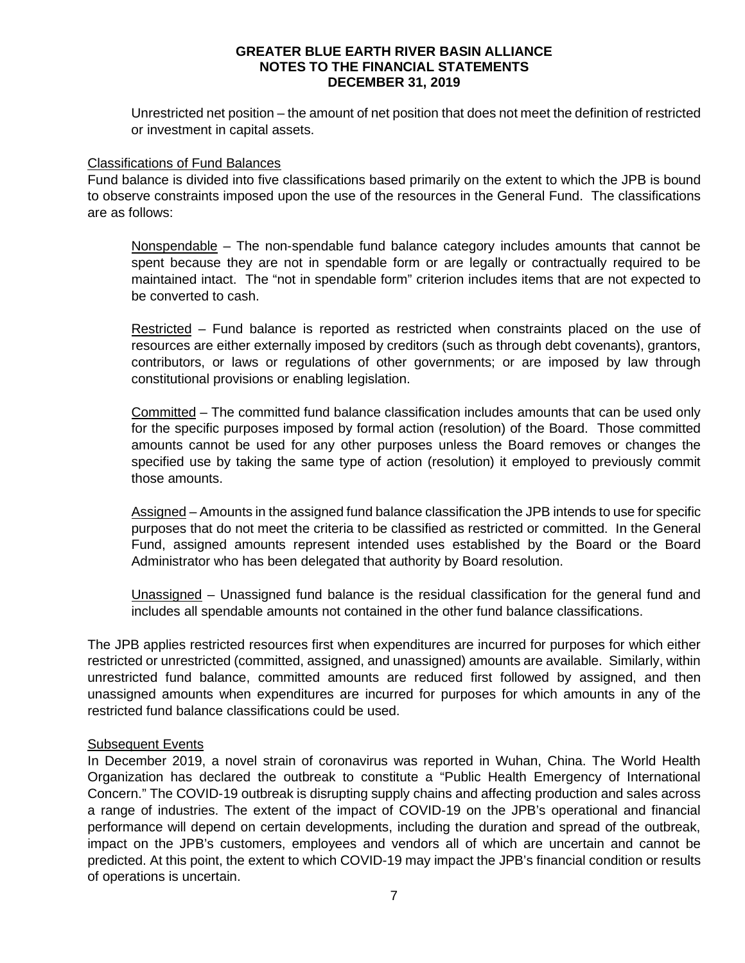Unrestricted net position – the amount of net position that does not meet the definition of restricted or investment in capital assets.

#### Classifications of Fund Balances

Fund balance is divided into five classifications based primarily on the extent to which the JPB is bound to observe constraints imposed upon the use of the resources in the General Fund. The classifications are as follows:

Nonspendable – The non-spendable fund balance category includes amounts that cannot be spent because they are not in spendable form or are legally or contractually required to be maintained intact. The "not in spendable form" criterion includes items that are not expected to be converted to cash.

Restricted – Fund balance is reported as restricted when constraints placed on the use of resources are either externally imposed by creditors (such as through debt covenants), grantors, contributors, or laws or regulations of other governments; or are imposed by law through constitutional provisions or enabling legislation.

Committed – The committed fund balance classification includes amounts that can be used only for the specific purposes imposed by formal action (resolution) of the Board. Those committed amounts cannot be used for any other purposes unless the Board removes or changes the specified use by taking the same type of action (resolution) it employed to previously commit those amounts.

Assigned – Amounts in the assigned fund balance classification the JPB intends to use for specific purposes that do not meet the criteria to be classified as restricted or committed. In the General Fund, assigned amounts represent intended uses established by the Board or the Board Administrator who has been delegated that authority by Board resolution.

Unassigned – Unassigned fund balance is the residual classification for the general fund and includes all spendable amounts not contained in the other fund balance classifications.

The JPB applies restricted resources first when expenditures are incurred for purposes for which either restricted or unrestricted (committed, assigned, and unassigned) amounts are available. Similarly, within unrestricted fund balance, committed amounts are reduced first followed by assigned, and then unassigned amounts when expenditures are incurred for purposes for which amounts in any of the restricted fund balance classifications could be used.

# **Subsequent Events**

In December 2019, a novel strain of coronavirus was reported in Wuhan, China. The World Health Organization has declared the outbreak to constitute a "Public Health Emergency of International Concern." The COVID-19 outbreak is disrupting supply chains and affecting production and sales across a range of industries. The extent of the impact of COVID-19 on the JPB's operational and financial performance will depend on certain developments, including the duration and spread of the outbreak, impact on the JPB's customers, employees and vendors all of which are uncertain and cannot be predicted. At this point, the extent to which COVID-19 may impact the JPB's financial condition or results of operations is uncertain.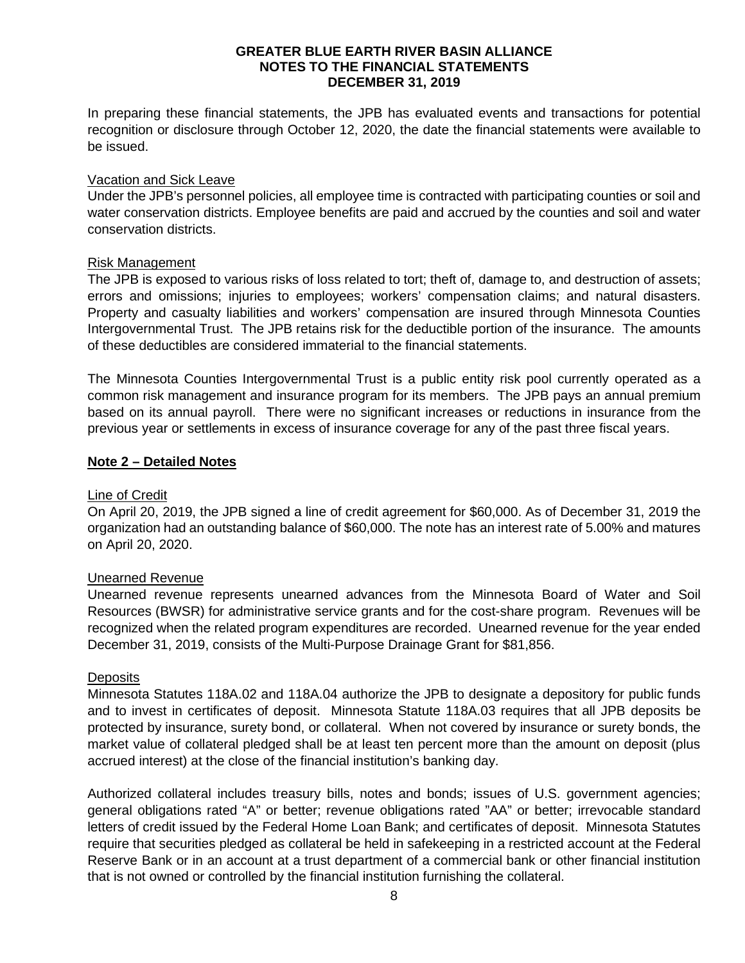In preparing these financial statements, the JPB has evaluated events and transactions for potential recognition or disclosure through October 12, 2020, the date the financial statements were available to be issued.

#### Vacation and Sick Leave

Under the JPB's personnel policies, all employee time is contracted with participating counties or soil and water conservation districts. Employee benefits are paid and accrued by the counties and soil and water conservation districts.

#### Risk Management

The JPB is exposed to various risks of loss related to tort; theft of, damage to, and destruction of assets; errors and omissions; injuries to employees; workers' compensation claims; and natural disasters. Property and casualty liabilities and workers' compensation are insured through Minnesota Counties Intergovernmental Trust. The JPB retains risk for the deductible portion of the insurance. The amounts of these deductibles are considered immaterial to the financial statements.

The Minnesota Counties Intergovernmental Trust is a public entity risk pool currently operated as a common risk management and insurance program for its members. The JPB pays an annual premium based on its annual payroll. There were no significant increases or reductions in insurance from the previous year or settlements in excess of insurance coverage for any of the past three fiscal years.

#### **Note 2 – Detailed Notes**

#### Line of Credit

On April 20, 2019, the JPB signed a line of credit agreement for \$60,000. As of December 31, 2019 the organization had an outstanding balance of \$60,000. The note has an interest rate of 5.00% and matures on April 20, 2020.

#### Unearned Revenue

Unearned revenue represents unearned advances from the Minnesota Board of Water and Soil Resources (BWSR) for administrative service grants and for the cost-share program. Revenues will be recognized when the related program expenditures are recorded. Unearned revenue for the year ended December 31, 2019, consists of the Multi-Purpose Drainage Grant for \$81,856.

#### **Deposits**

Minnesota Statutes 118A.02 and 118A.04 authorize the JPB to designate a depository for public funds and to invest in certificates of deposit. Minnesota Statute 118A.03 requires that all JPB deposits be protected by insurance, surety bond, or collateral. When not covered by insurance or surety bonds, the market value of collateral pledged shall be at least ten percent more than the amount on deposit (plus accrued interest) at the close of the financial institution's banking day.

Authorized collateral includes treasury bills, notes and bonds; issues of U.S. government agencies; general obligations rated "A" or better; revenue obligations rated "AA" or better; irrevocable standard letters of credit issued by the Federal Home Loan Bank; and certificates of deposit. Minnesota Statutes require that securities pledged as collateral be held in safekeeping in a restricted account at the Federal Reserve Bank or in an account at a trust department of a commercial bank or other financial institution that is not owned or controlled by the financial institution furnishing the collateral.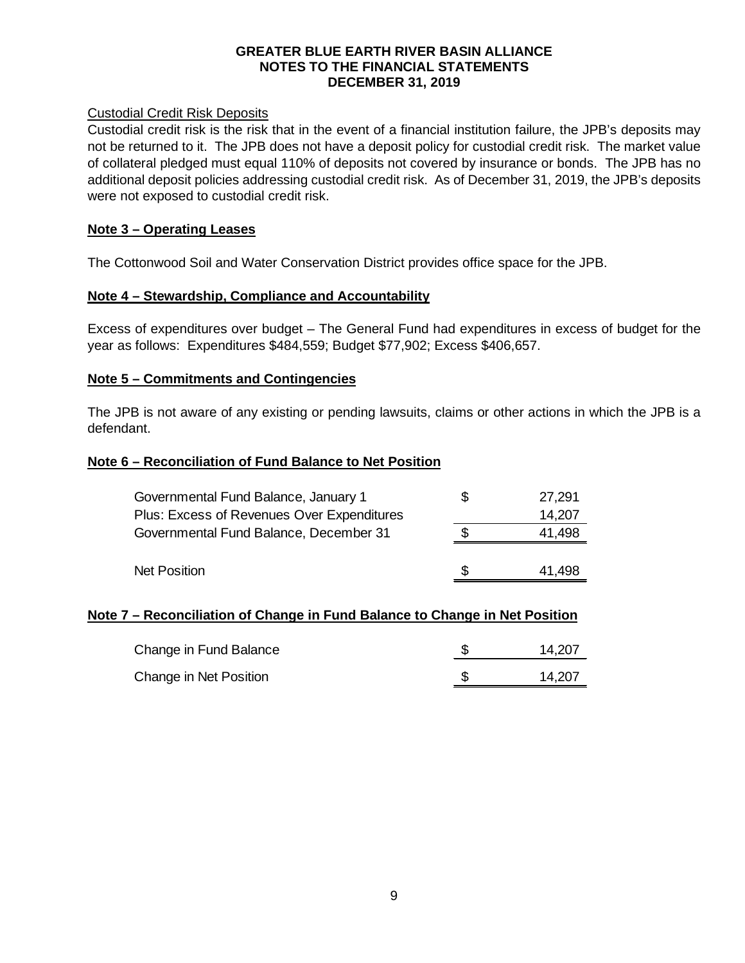# Custodial Credit Risk Deposits

Custodial credit risk is the risk that in the event of a financial institution failure, the JPB's deposits may not be returned to it. The JPB does not have a deposit policy for custodial credit risk. The market value of collateral pledged must equal 110% of deposits not covered by insurance or bonds. The JPB has no additional deposit policies addressing custodial credit risk. As of December 31, 2019, the JPB's deposits were not exposed to custodial credit risk.

# **Note 3 – Operating Leases**

The Cottonwood Soil and Water Conservation District provides office space for the JPB.

# **Note 4 – Stewardship, Compliance and Accountability**

Excess of expenditures over budget – The General Fund had expenditures in excess of budget for the year as follows: Expenditures \$484,559; Budget \$77,902; Excess \$406,657.

#### **Note 5 – Commitments and Contingencies**

The JPB is not aware of any existing or pending lawsuits, claims or other actions in which the JPB is a defendant.

#### **Note 6 – Reconciliation of Fund Balance to Net Position**

| Governmental Fund Balance, January 1       | \$ | 27,291 |
|--------------------------------------------|----|--------|
| Plus: Excess of Revenues Over Expenditures |    | 14,207 |
| Governmental Fund Balance, December 31     | S  | 41,498 |
|                                            |    |        |
| <b>Net Position</b>                        |    | 41,498 |

# **Note 7 – Reconciliation of Change in Fund Balance to Change in Net Position**

| Change in Fund Balance | 14,207 |
|------------------------|--------|
| Change in Net Position | 14,207 |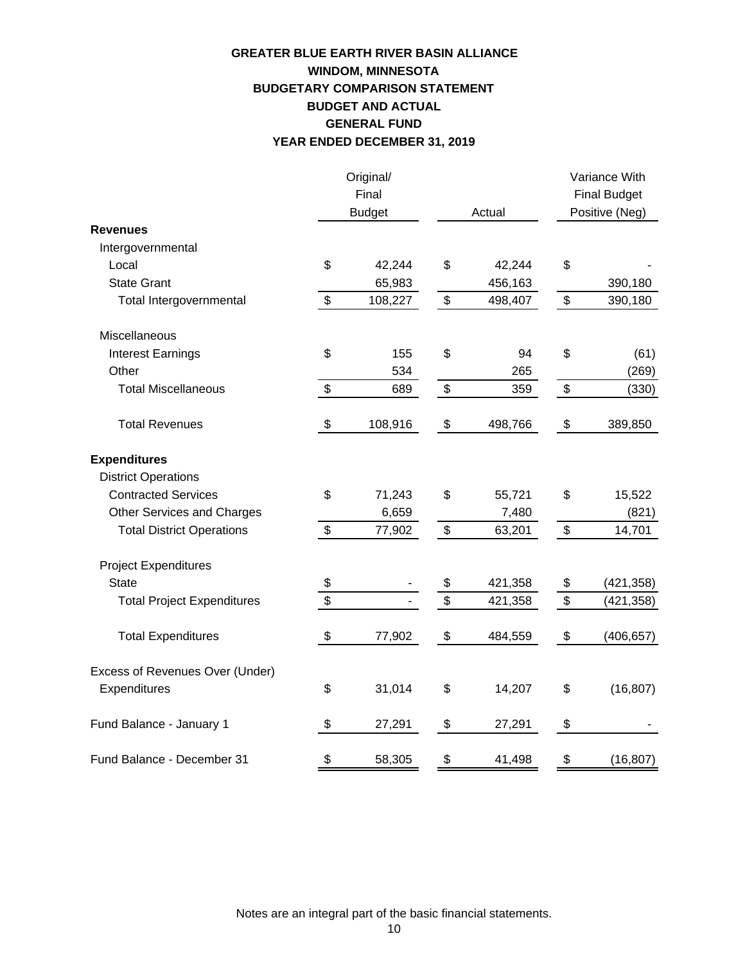# **GREATER BLUE EARTH RIVER BASIN ALLIANCE WINDOM, MINNESOTA BUDGETARY COMPARISON STATEMENT BUDGET AND ACTUAL GENERAL FUND YEAR ENDED DECEMBER 31, 2019**

|                                   | Original/                 |         |        | Variance With |                                           |            |
|-----------------------------------|---------------------------|---------|--------|---------------|-------------------------------------------|------------|
|                                   |                           | Final   |        |               | <b>Final Budget</b>                       |            |
|                                   | <b>Budget</b>             |         | Actual |               | Positive (Neg)                            |            |
| <b>Revenues</b>                   |                           |         |        |               |                                           |            |
| Intergovernmental                 |                           |         |        |               |                                           |            |
| Local                             | \$                        | 42,244  | \$     | 42,244        | \$                                        |            |
| <b>State Grant</b>                |                           | 65,983  |        | 456,163       |                                           | 390,180    |
| Total Intergovernmental           | \$                        | 108,227 | \$     | 498,407       | $\, \, \raisebox{12pt}{$\scriptstyle \$}$ | 390,180    |
| Miscellaneous                     |                           |         |        |               |                                           |            |
| <b>Interest Earnings</b>          | \$                        | 155     | \$     | 94            | \$                                        | (61)       |
| Other                             |                           | 534     |        | 265           |                                           | (269)      |
| <b>Total Miscellaneous</b>        | \$                        | 689     | \$     | 359           | $\, \, \raisebox{12pt}{$\scriptstyle \$}$ | (330)      |
| <b>Total Revenues</b>             | \$                        | 108,916 | \$     | 498,766       | \$                                        | 389,850    |
| <b>Expenditures</b>               |                           |         |        |               |                                           |            |
| <b>District Operations</b>        |                           |         |        |               |                                           |            |
| <b>Contracted Services</b>        | \$                        | 71,243  | \$     | 55,721        | \$                                        | 15,522     |
| Other Services and Charges        |                           | 6,659   |        | 7,480         |                                           | (821)      |
| <b>Total District Operations</b>  | \$                        | 77,902  | \$     | 63,201        | \$                                        | 14,701     |
| <b>Project Expenditures</b>       |                           |         |        |               |                                           |            |
| <b>State</b>                      | \$                        |         | \$     | 421,358       | \$                                        | (421, 358) |
| <b>Total Project Expenditures</b> | \$                        |         | \$     | 421,358       | \$                                        | (421, 358) |
| <b>Total Expenditures</b>         | $\boldsymbol{\mathsf{S}}$ | 77,902  | \$     | 484,559       | \$                                        | (406, 657) |
| Excess of Revenues Over (Under)   |                           |         |        |               |                                           |            |
| Expenditures                      | \$                        | 31,014  | \$     | 14,207        | \$                                        | (16, 807)  |
| Fund Balance - January 1          | \$                        | 27,291  | \$     | 27,291        | \$                                        |            |
| Fund Balance - December 31        | \$                        | 58,305  | \$     | 41,498        | \$                                        | (16, 807)  |

Notes are an integral part of the basic financial statements.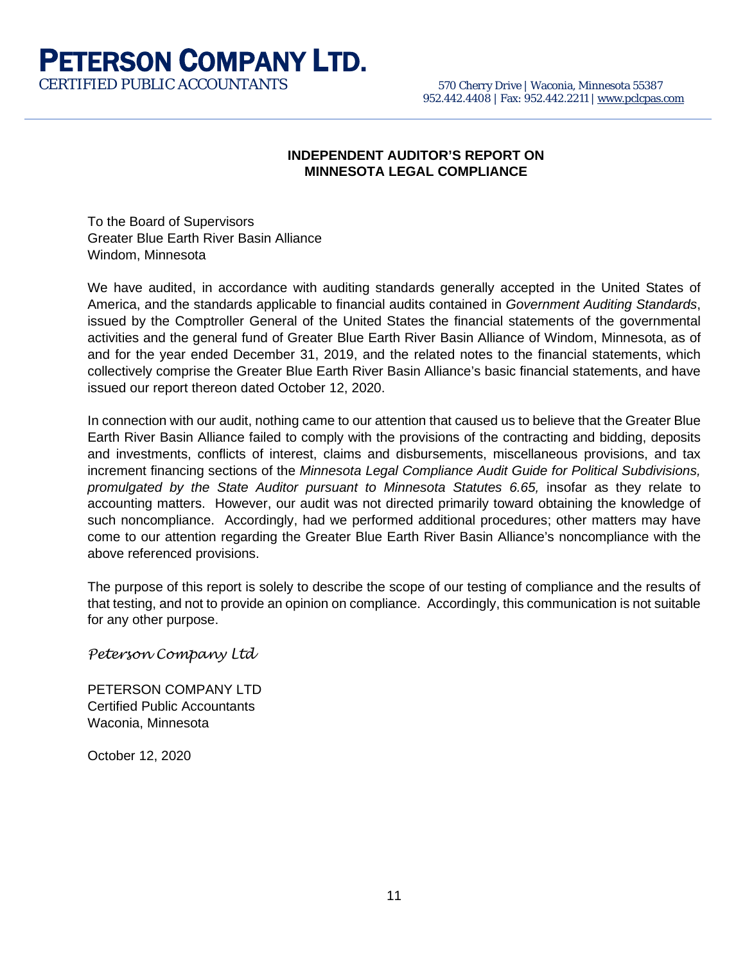# **PETERSON COMPANY LTD.**<br>CERTIFIED PUBLIC ACCOUNTANTS 570 Cherry Drive | Waconia, Minnesota 55387

# **INDEPENDENT AUDITOR'S REPORT ON MINNESOTA LEGAL COMPLIANCE**

To the Board of Supervisors Greater Blue Earth River Basin Alliance Windom, Minnesota

We have audited, in accordance with auditing standards generally accepted in the United States of America, and the standards applicable to financial audits contained in *Government Auditing Standards*, issued by the Comptroller General of the United States the financial statements of the governmental activities and the general fund of Greater Blue Earth River Basin Alliance of Windom, Minnesota, as of and for the year ended December 31, 2019, and the related notes to the financial statements, which collectively comprise the Greater Blue Earth River Basin Alliance's basic financial statements, and have issued our report thereon dated October 12, 2020.

In connection with our audit, nothing came to our attention that caused us to believe that the Greater Blue Earth River Basin Alliance failed to comply with the provisions of the contracting and bidding, deposits and investments, conflicts of interest, claims and disbursements, miscellaneous provisions, and tax increment financing sections of the *Minnesota Legal Compliance Audit Guide for Political Subdivisions, promulgated by the State Auditor pursuant to Minnesota Statutes 6.65,* insofar as they relate to accounting matters. However, our audit was not directed primarily toward obtaining the knowledge of such noncompliance. Accordingly, had we performed additional procedures; other matters may have come to our attention regarding the Greater Blue Earth River Basin Alliance's noncompliance with the above referenced provisions.

The purpose of this report is solely to describe the scope of our testing of compliance and the results of that testing, and not to provide an opinion on compliance. Accordingly, this communication is not suitable for any other purpose.

*Peterson Company Ltd*

PETERSON COMPANY LTD Certified Public Accountants Waconia, Minnesota

October 12, 2020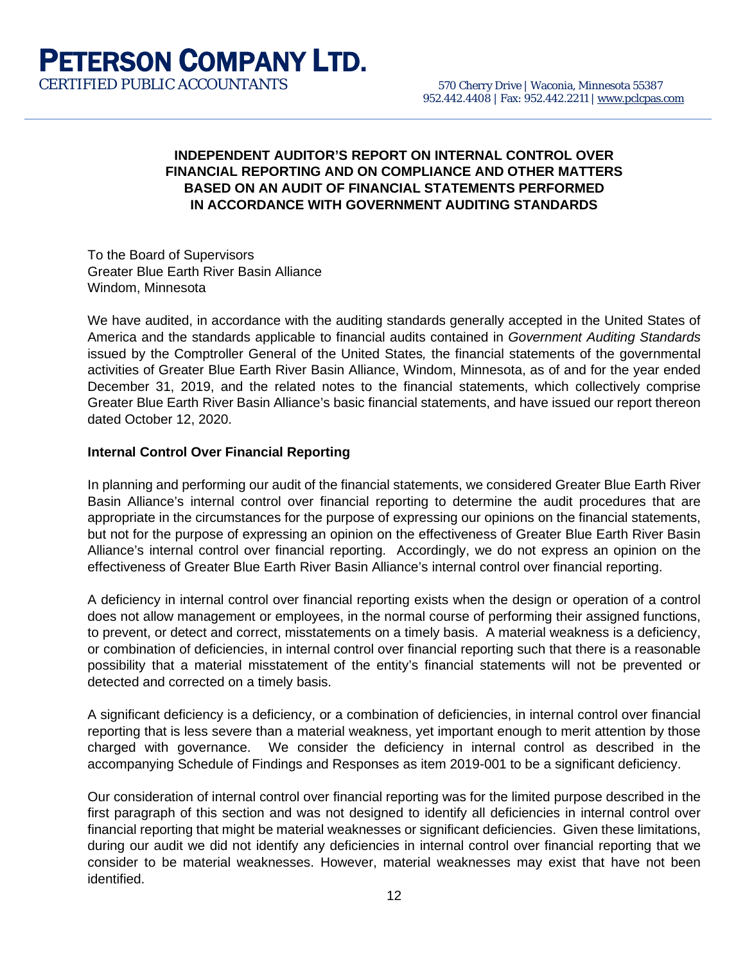# **INDEPENDENT AUDITOR'S REPORT ON INTERNAL CONTROL OVER FINANCIAL REPORTING AND ON COMPLIANCE AND OTHER MATTERS BASED ON AN AUDIT OF FINANCIAL STATEMENTS PERFORMED IN ACCORDANCE WITH GOVERNMENT AUDITING STANDARDS**

To the Board of Supervisors Greater Blue Earth River Basin Alliance Windom, Minnesota

We have audited, in accordance with the auditing standards generally accepted in the United States of America and the standards applicable to financial audits contained in *Government Auditing Standards*  issued by the Comptroller General of the United States*,* the financial statements of the governmental activities of Greater Blue Earth River Basin Alliance, Windom, Minnesota, as of and for the year ended December 31, 2019, and the related notes to the financial statements, which collectively comprise Greater Blue Earth River Basin Alliance's basic financial statements, and have issued our report thereon dated October 12, 2020.

# **Internal Control Over Financial Reporting**

In planning and performing our audit of the financial statements, we considered Greater Blue Earth River Basin Alliance's internal control over financial reporting to determine the audit procedures that are appropriate in the circumstances for the purpose of expressing our opinions on the financial statements, but not for the purpose of expressing an opinion on the effectiveness of Greater Blue Earth River Basin Alliance's internal control over financial reporting. Accordingly, we do not express an opinion on the effectiveness of Greater Blue Earth River Basin Alliance's internal control over financial reporting.

A deficiency in internal control over financial reporting exists when the design or operation of a control does not allow management or employees, in the normal course of performing their assigned functions, to prevent, or detect and correct, misstatements on a timely basis. A material weakness is a deficiency, or combination of deficiencies, in internal control over financial reporting such that there is a reasonable possibility that a material misstatement of the entity's financial statements will not be prevented or detected and corrected on a timely basis.

A significant deficiency is a deficiency, or a combination of deficiencies, in internal control over financial reporting that is less severe than a material weakness, yet important enough to merit attention by those charged with governance. We consider the deficiency in internal control as described in the accompanying Schedule of Findings and Responses as item 2019-001 to be a significant deficiency.

Our consideration of internal control over financial reporting was for the limited purpose described in the first paragraph of this section and was not designed to identify all deficiencies in internal control over financial reporting that might be material weaknesses or significant deficiencies. Given these limitations, during our audit we did not identify any deficiencies in internal control over financial reporting that we consider to be material weaknesses. However, material weaknesses may exist that have not been identified.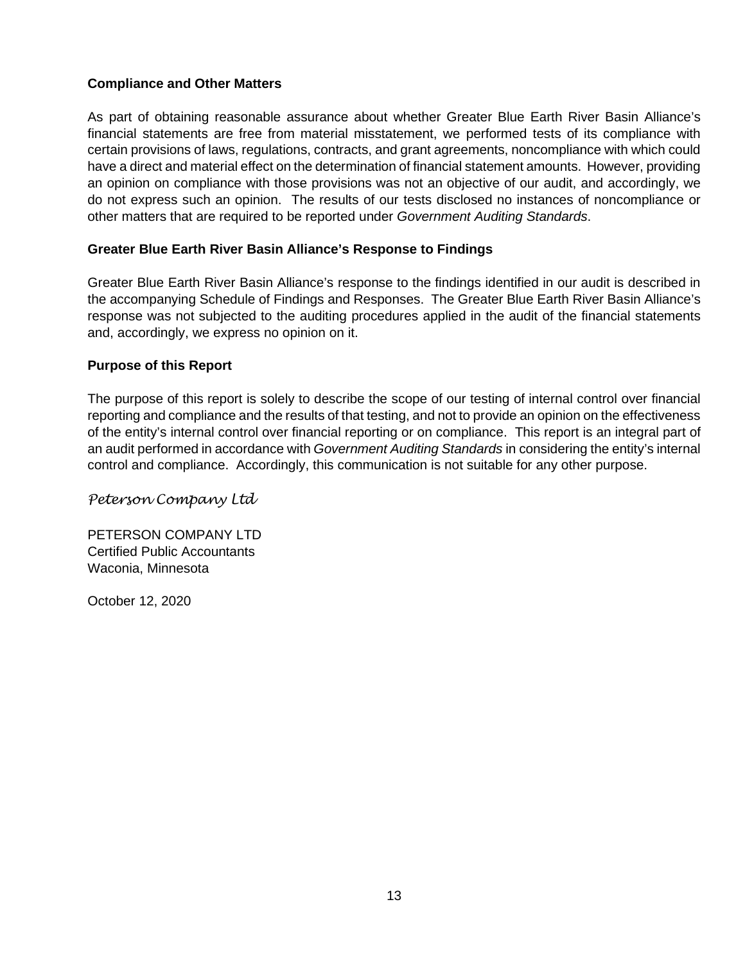# **Compliance and Other Matters**

As part of obtaining reasonable assurance about whether Greater Blue Earth River Basin Alliance's financial statements are free from material misstatement, we performed tests of its compliance with certain provisions of laws, regulations, contracts, and grant agreements, noncompliance with which could have a direct and material effect on the determination of financial statement amounts. However, providing an opinion on compliance with those provisions was not an objective of our audit, and accordingly, we do not express such an opinion. The results of our tests disclosed no instances of noncompliance or other matters that are required to be reported under *Government Auditing Standards*.

# **Greater Blue Earth River Basin Alliance's Response to Findings**

Greater Blue Earth River Basin Alliance's response to the findings identified in our audit is described in the accompanying Schedule of Findings and Responses. The Greater Blue Earth River Basin Alliance's response was not subjected to the auditing procedures applied in the audit of the financial statements and, accordingly, we express no opinion on it.

# **Purpose of this Report**

The purpose of this report is solely to describe the scope of our testing of internal control over financial reporting and compliance and the results of that testing, and not to provide an opinion on the effectiveness of the entity's internal control over financial reporting or on compliance. This report is an integral part of an audit performed in accordance with *Government Auditing Standards* in considering the entity's internal control and compliance. Accordingly, this communication is not suitable for any other purpose.

*Peterson Company Ltd*

PETERSON COMPANY LTD Certified Public Accountants Waconia, Minnesota

October 12, 2020